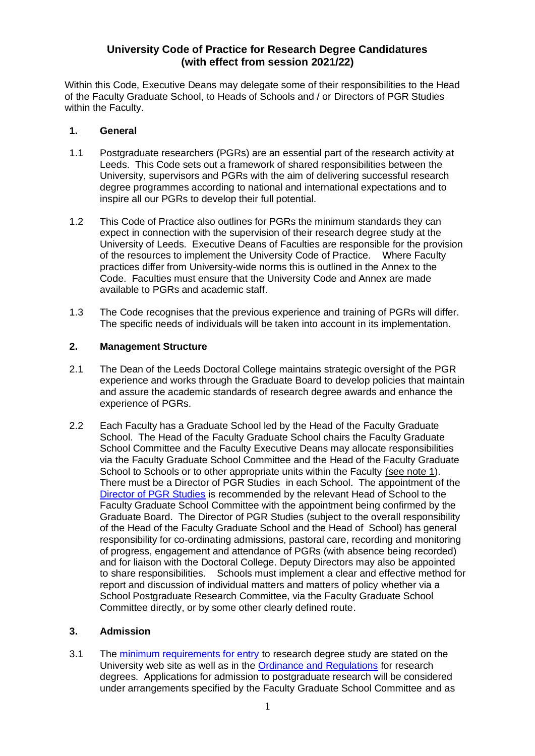# **University Code of Practice for Research Degree Candidatures (with effect from session 2021/22)**

Within this Code, Executive Deans may delegate some of their responsibilities to the Head of the Faculty Graduate School, to Heads of Schools and / or Directors of PGR Studies within the Faculty.

#### **1. General**

- 1.1 Postgraduate researchers (PGRs) are an essential part of the research activity at Leeds. This Code sets out a framework of shared responsibilities between the University, supervisors and PGRs with the aim of delivering successful research degree programmes according to national and international expectations and to inspire all our PGRs to develop their full potential.
- 1.2 This Code of Practice also outlines for PGRs the minimum standards they can expect in connection with the supervision of their research degree study at the University of Leeds. Executive Deans of Faculties are responsible for the provision of the resources to implement the University Code of Practice. Where Faculty practices differ from University-wide norms this is outlined in the Annex to the Code. Faculties must ensure that the University Code and Annex are made available to PGRs and academic staff.
- 1.3 The Code recognises that the previous experience and training of PGRs will differ. The specific needs of individuals will be taken into account in its implementation.

### **2. Management Structure**

- 2.1 The Dean of the Leeds Doctoral College maintains strategic oversight of the PGR experience and works through the Graduate Board to develop policies that maintain and assure the academic standards of research degree awards and enhance the experience of PGRs.
- 2.2 Each Faculty has a Graduate School led by the Head of the Faculty Graduate School. The Head of the Faculty Graduate School chairs the Faculty Graduate School Committee and the Faculty Executive Deans may allocate responsibilities via the Faculty Graduate School Committee and the Head of the Faculty Graduate School to Schools or to other appropriate units within the Faculty (see note 1). There must be a Director of PGR Studies in each School. The appointment of the [Director of PGR Studies](https://ses.leeds.ac.uk/info/22229/research_degree_contacts/758/directors_of_postgraduate_research_studies) is recommended by the relevant Head of School to the Faculty Graduate School Committee with the appointment being confirmed by the Graduate Board. The Director of PGR Studies (subject to the overall responsibility of the Head of the Faculty Graduate School and the Head of School) has general responsibility for co-ordinating admissions, pastoral care, recording and monitoring of progress, engagement and attendance of PGRs (with absence being recorded) and for liaison with the Doctoral College. Deputy Directors may also be appointed to share responsibilities. Schools must implement a clear and effective method for report and discussion of individual matters and matters of policy whether via a School Postgraduate Research Committee, via the Faculty Graduate School Committee directly, or by some other clearly defined route.

### **3. Admission**

3.1 The [minimum requirements for entry](http://www.leeds.ac.uk/info/130206/applying/91/applying_for_research_degrees) to research degree study are stated on the University web site as well as in the [Ordinance and Regulations](http://ses.leeds.ac.uk/info/22168/student_support-related_policies/646/ordinances) for research degrees. Applications for admission to postgraduate research will be considered under arrangements specified by the Faculty Graduate School Committee and as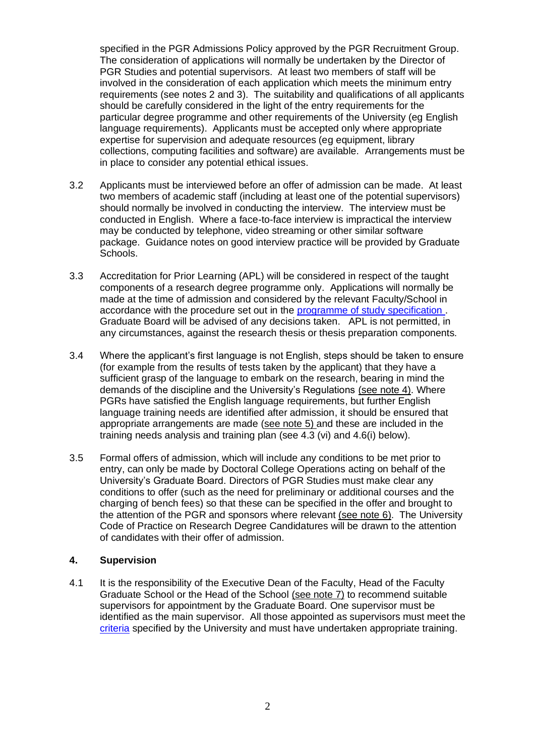specified in the PGR Admissions Policy approved by the PGR Recruitment Group. The consideration of applications will normally be undertaken by the Director of PGR Studies and potential supervisors. At least two members of staff will be involved in the consideration of each application which meets the minimum entry requirements (see notes 2 and 3). The suitability and qualifications of all applicants should be carefully considered in the light of the entry requirements for the particular degree programme and other requirements of the University (eg English language requirements). Applicants must be accepted only where appropriate expertise for supervision and adequate resources (eg equipment, library collections, computing facilities and software) are available. Arrangements must be in place to consider any potential ethical issues.

- 3.2 Applicants must be interviewed before an offer of admission can be made. At least two members of academic staff (including at least one of the potential supervisors) should normally be involved in conducting the interview. The interview must be conducted in English. Where a face-to-face interview is impractical the interview may be conducted by telephone, video streaming or other similar software package. Guidance notes on good interview practice will be provided by Graduate Schools.
- 3.3 Accreditation for Prior Learning (APL) will be considered in respect of the taught components of a research degree programme only. Applications will normally be made at the time of admission and considered by the relevant Faculty/School in accordance with the procedure set out in the [programme of study specification .](http://ses.leeds.ac.uk/info/22168/student_support-related_policies/646/ordinances) Graduate Board will be advised of any decisions taken. APL is not permitted, in any circumstances, against the research thesis or thesis preparation components.
- 3.4 Where the applicant's first language is not English, steps should be taken to ensure (for example from the results of tests taken by the applicant) that they have a sufficient grasp of the language to embark on the research, bearing in mind the demands of the discipline and the University's Regulations (see note 4). Where PGRs have satisfied the English language requirements, but further English language training needs are identified after admission, it should be ensured that appropriate arrangements are made (see note 5) and these are included in the training needs analysis and training plan (see 4.3 (vi) and 4.6(i) below).
- 3.5 Formal offers of admission, which will include any conditions to be met prior to entry, can only be made by Doctoral College Operations acting on behalf of the University's Graduate Board. Directors of PGR Studies must make clear any conditions to offer (such as the need for preliminary or additional courses and the charging of bench fees) so that these can be specified in the offer and brought to the attention of the PGR and sponsors where relevant (see note  $6$ ). The University Code of Practice on Research Degree Candidatures will be drawn to the attention of candidates with their offer of admission.

### **4. Supervision**

4.1 It is the responsibility of the Executive Dean of the Faculty, Head of the Faculty Graduate School or the Head of the School (see note 7) to recommend suitable supervisors for appointment by the Graduate Board. One supervisor must be identified as the main supervisor. All those appointed as supervisors must meet the [criteria](http://ses.leeds.ac.uk/info/22172/research_degrees/1030/regulations_codes_policies_and_procedures_for_postgraduate_research%20-%20supervisors) specified by the University and must have undertaken appropriate training.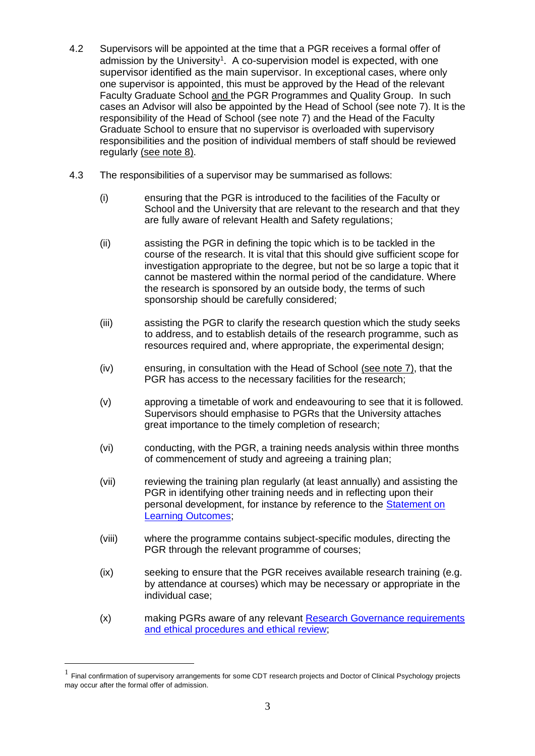- 4.2 Supervisors will be appointed at the time that a PGR receives a formal offer of admission by the University<sup>1</sup>. A co-supervision model is expected, with one supervisor identified as the main supervisor. In exceptional cases, where only one supervisor is appointed, this must be approved by the Head of the relevant Faculty Graduate School and the PGR Programmes and Quality Group. In such cases an Advisor will also be appointed by the Head of School (see note 7). It is the responsibility of the Head of School (see note 7) and the Head of the Faculty Graduate School to ensure that no supervisor is overloaded with supervisory responsibilities and the position of individual members of staff should be reviewed regularly (see note 8).
- 4.3 The responsibilities of a supervisor may be summarised as follows:
	- (i) ensuring that the PGR is introduced to the facilities of the Faculty or School and the University that are relevant to the research and that they are fully aware of relevant Health and Safety regulations;
	- (ii) assisting the PGR in defining the topic which is to be tackled in the course of the research. It is vital that this should give sufficient scope for investigation appropriate to the degree, but not be so large a topic that it cannot be mastered within the normal period of the candidature. Where the research is sponsored by an outside body, the terms of such sponsorship should be carefully considered;
	- (iii) assisting the PGR to clarify the research question which the study seeks to address, and to establish details of the research programme, such as resources required and, where appropriate, the experimental design;
	- (iv) ensuring, in consultation with the Head of School (see note 7), that the PGR has access to the necessary facilities for the research;
	- (v) approving a timetable of work and endeavouring to see that it is followed. Supervisors should emphasise to PGRs that the University attaches great importance to the timely completion of research;
	- (vi) conducting, with the PGR, a training needs analysis within three months of commencement of study and agreeing a training plan;
	- (vii) reviewing the training plan regularly (at least annually) and assisting the PGR in identifying other training needs and in reflecting upon their personal development, for instance by reference to the [Statement on](http://ses.leeds.ac.uk/info/22168/student_support-related_policies/646/ordinances)  [Learning Outcomes;](http://ses.leeds.ac.uk/info/22168/student_support-related_policies/646/ordinances)
	- (viii) where the programme contains subject-specific modules, directing the PGR through the relevant programme of courses;
	- (ix) seeking to ensure that the PGR receives available research training (e.g. by attendance at courses) which may be necessary or appropriate in the individual case;
	- (x) making PGRs aware of any relevant [Research Governance requirements](http://ris.leeds.ac.uk/goodpractice)  [and ethical procedures](http://ris.leeds.ac.uk/goodpractice) and ethical review;

<sup>&</sup>lt;sup>1</sup> Final confirmation of supervisory arrangements for some CDT research projects and Doctor of Clinical Psychology projects may occur after the formal offer of admission.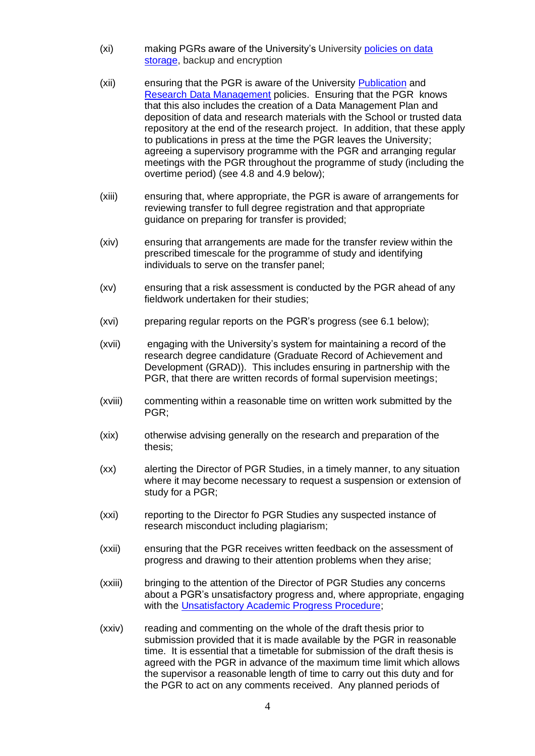- (xi) making PGRs aware of the University's University [policies on data](https://ses.leeds.ac.uk/info/22149/a-z_of_policies_and_key_documents/740/safeguarding_data)  [storage,](https://ses.leeds.ac.uk/info/22149/a-z_of_policies_and_key_documents/740/safeguarding_data) backup and encryption
- (xii) ensuring that the PGR is aware of the University [Publication](https://library.leeds.ac.uk/downloads/download/1/university_publications_policy) and [Research Data Management](https://library.leeds.ac.uk/research-data-policies) policies. Ensuring that the PGR knows that this also includes the creation of a Data Management Plan and deposition of data and research materials with the School or trusted data repository at the end of the research project. In addition, that these apply to publications in press at the time the PGR leaves the University; agreeing a supervisory programme with the PGR and arranging regular meetings with the PGR throughout the programme of study (including the overtime period) (see 4.8 and 4.9 below);
- (xiii) ensuring that, where appropriate, the PGR is aware of arrangements for reviewing transfer to full degree registration and that appropriate guidance on preparing for transfer is provided;
- (xiv) ensuring that arrangements are made for the transfer review within the prescribed timescale for the programme of study and identifying individuals to serve on the transfer panel;
- (xv) ensuring that a risk assessment is conducted by the PGR ahead of any fieldwork undertaken for their studies;
- (xvi) preparing regular reports on the PGR's progress (see 6.1 below);
- (xvii) engaging with the University's system for maintaining a record of the research degree candidature (Graduate Record of Achievement and Development (GRAD)). This includes ensuring in partnership with the PGR, that there are written records of formal supervision meetings;
- (xviii) commenting within a reasonable time on written work submitted by the PGR;
- (xix) otherwise advising generally on the research and preparation of the thesis;
- (xx) alerting the Director of PGR Studies, in a timely manner, to any situation where it may become necessary to request a suspension or extension of study for a PGR;
- (xxi) reporting to the Director fo PGR Studies any suspected instance of research misconduct including plagiarism;
- (xxii) ensuring that the PGR receives written feedback on the assessment of progress and drawing to their attention problems when they arise;
- (xxiii) bringing to the attention of the Director of PGR Studies any concerns about a PGR's unsatisfactory progress and, where appropriate, engaging with the [Unsatisfactory Academic Progress Procedure;](http://ses.leeds.ac.uk/info/22215/research_degree-related_policies/720/unsatisfactory_academic_progress_procedure_research_students)
- (xxiv) reading and commenting on the whole of the draft thesis prior to submission provided that it is made available by the PGR in reasonable time. It is essential that a timetable for submission of the draft thesis is agreed with the PGR in advance of the maximum time limit which allows the supervisor a reasonable length of time to carry out this duty and for the PGR to act on any comments received. Any planned periods of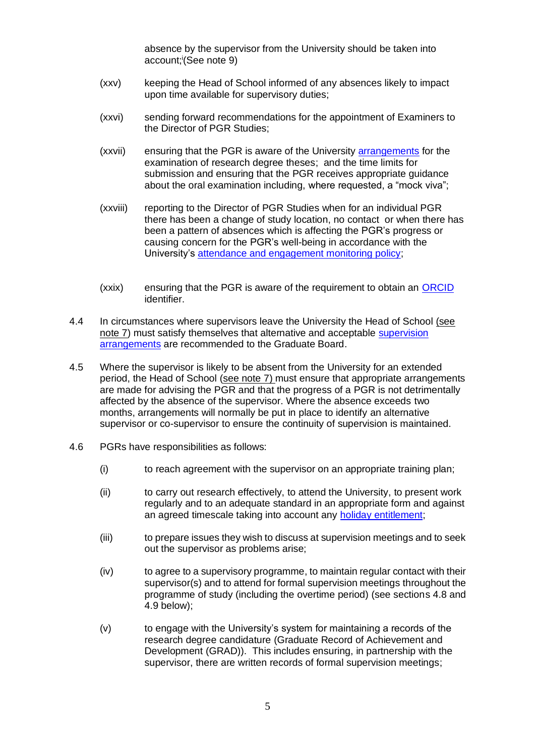absence by the supervisor from the University should be taken into account; i (See note 9)

- (xxv) keeping the Head of School informed of any absences likely to impact upon time available for supervisory duties;
- (xxvi) sending forward recommendations for the appointment of Examiners to the Director of PGR Studies;
- (xxvii) ensuring that the PGR is aware of the University [arrangements](http://students.leeds.ac.uk/info/10125/assessment) for the examination of research degree theses; and the time limits for submission and ensuring that the PGR receives appropriate guidance about the oral examination including, where requested, a "mock viva";
- (xxviii) reporting to the Director of PGR Studies when for an individual PGR there has been a change of study location, no contact or when there has been a pattern of absences which is affecting the PGR's progress or causing concern for the PGR's well-being in accordance with the University's [attendance and engagement monitoring policy;](http://ses.leeds.ac.uk/info/22168/student_support-related_policies/1069/attendance_monitoring_postgraduate_research_students)
- (xxix) ensuring that the PGR is aware of the requirement to obtain an [ORCID](https://library.leeds.ac.uk/info/1406/research_support/163/increase_research_visibility/2) identifier.
- 4.4 In circumstances where supervisors leave the University the Head of School (see note 7) must satisfy themselves that alternative and acceptable [supervision](http://ses.leeds.ac.uk/info/22172/research_degrees/1030/regulations_codes_policies_and_procedures_for_postgraduate_research%20-%20supervisors)  [arrangements](http://ses.leeds.ac.uk/info/22172/research_degrees/1030/regulations_codes_policies_and_procedures_for_postgraduate_research%20-%20supervisors) are recommended to the Graduate Board.
- 4.5 Where the supervisor is likely to be absent from the University for an extended period, the Head of School (see note 7) must ensure that appropriate arrangements are made for advising the PGR and that the progress of a PGR is not detrimentally affected by the absence of the supervisor. Where the absence exceeds two months, arrangements will normally be put in place to identify an alternative supervisor or co-supervisor to ensure the continuity of supervision is maintained.
- 4.6 PGRs have responsibilities as follows:
	- (i) to reach agreement with the supervisor on an appropriate training plan;
	- (ii) to carry out research effectively, to attend the University, to present work regularly and to an adequate standard in an appropriate form and against an agreed timescale taking into account any [holiday entitlement;](http://students.leeds.ac.uk/info/10112/research_degrees/910/research_student_guide)
	- (iii) to prepare issues they wish to discuss at supervision meetings and to seek out the supervisor as problems arise;
	- $(iv)$  to agree to a supervisory programme, to maintain regular contact with their supervisor(s) and to attend for formal supervision meetings throughout the programme of study (including the overtime period) (see sections 4.8 and 4.9 below);
	- (v) to engage with the University's system for maintaining a records of the research degree candidature (Graduate Record of Achievement and Development (GRAD)). This includes ensuring, in partnership with the supervisor, there are written records of formal supervision meetings;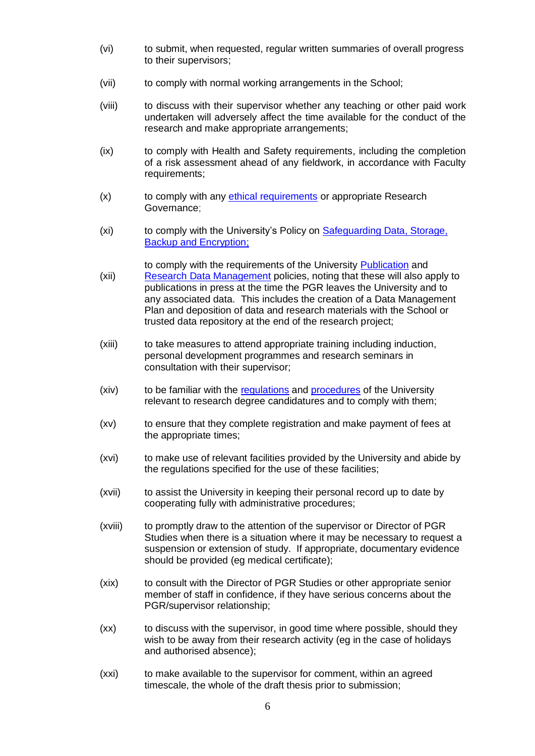- (vi) to submit, when requested, regular written summaries of overall progress to their supervisors;
- (vii) to comply with normal working arrangements in the School;
- (viii) to discuss with their supervisor whether any teaching or other paid work undertaken will adversely affect the time available for the conduct of the research and make appropriate arrangements;
- (ix) to comply with Health and Safety requirements, including the completion of a risk assessment ahead of any fieldwork, in accordance with Faculty requirements;
- (x) to comply with any [ethical requirements](http://www.leeds.ac.uk/ethics) or appropriate Research Governance;
- (xi) to comply with the University's Policy on [Safeguarding Data, Storage,](https://library.leeds.ac.uk/info/1406/researcher_support)  [Backup and Encryption;](https://library.leeds.ac.uk/info/1406/researcher_support)

to comply with the requirements of the University [Publication](https://library.leeds.ac.uk/downloads/download/1/university_publications_policy) and

- (xii) [Research Data Management](https://library.leeds.ac.uk/research-data-policies) policies, noting that these will also apply to publications in press at the time the PGR leaves the University and to any associated data. This includes the creation of a Data Management Plan and deposition of data and research materials with the School or trusted data repository at the end of the research project;
- (xiii) to take measures to attend appropriate training including induction, personal development programmes and research seminars in consultation with their supervisor;
- (xiv) to be familiar with the [regulations](http://ses.leeds.ac.uk/info/22168/student_support-related_policies/646/ordinances) and [procedures](http://students.leeds.ac.uk/info/10112/research_degrees) of the University relevant to research degree candidatures and to comply with them;
- (xv) to ensure that they complete registration and make payment of fees at the appropriate times;
- (xvi) to make use of relevant facilities provided by the University and abide by the regulations specified for the use of these facilities;
- (xvii) to assist the University in keeping their personal record up to date by cooperating fully with administrative procedures;
- (xviii) to promptly draw to the attention of the supervisor or Director of PGR Studies when there is a situation where it may be necessary to request a suspension or extension of study. If appropriate, documentary evidence should be provided (eg medical certificate);
- (xix) to consult with the Director of PGR Studies or other appropriate senior member of staff in confidence, if they have serious concerns about the PGR/supervisor relationship;
- (xx) to discuss with the supervisor, in good time where possible, should they wish to be away from their research activity (eg in the case of holidays and authorised absence);
- (xxi) to make available to the supervisor for comment, within an agreed timescale, the whole of the draft thesis prior to submission;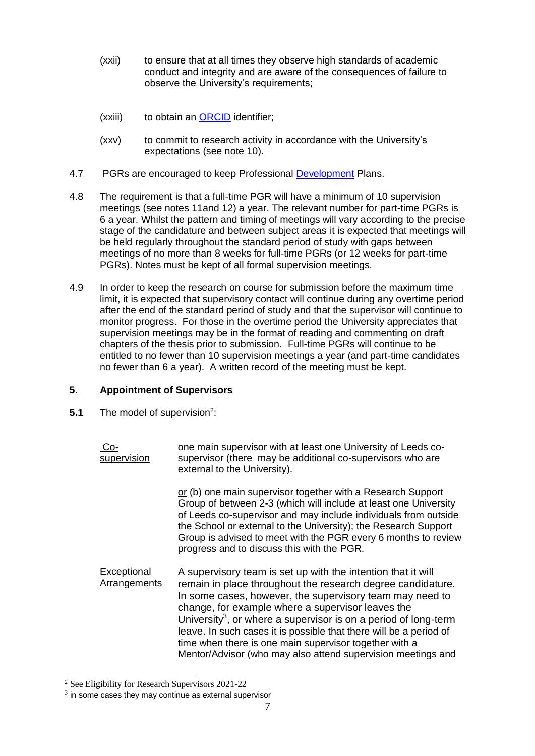- (xxii) to ensure that at all times they observe high standards of academic conduct and integrity and are aware of the consequences of failure to observe the University's requirements;
- (xxiii) to obtain an [ORCID](https://library.leeds.ac.uk/info/1406/research_support/163/increase_research_visibility/2) identifier;
- (xxv) to commit to research activity in accordance with the University's expectations (see note 10).
- 4.7 PGRs are encouraged to keep Professional [Development](https://students.leeds.ac.uk/info/10124/during_your_research/755/postgraduate_research_and_training) Plans.
- 4.8 The requirement is that a full-time PGR will have a minimum of 10 supervision meetings (see notes 11and 12) a year. The relevant number for part-time PGRs is 6 a year. Whilst the pattern and timing of meetings will vary according to the precise stage of the candidature and between subject areas it is expected that meetings will be held regularly throughout the standard period of study with gaps between meetings of no more than 8 weeks for full-time PGRs (or 12 weeks for part-time PGRs). Notes must be kept of all formal supervision meetings.
- 4.9 In order to keep the research on course for submission before the maximum time limit, it is expected that supervisory contact will continue during any overtime period after the end of the standard period of study and that the supervisor will continue to monitor progress. For those in the overtime period the University appreciates that supervision meetings may be in the format of reading and commenting on draft chapters of the thesis prior to submission. Full-time PGRs will continue to be entitled to no fewer than 10 supervision meetings a year (and part-time candidates no fewer than 6 a year). A written record of the meeting must be kept.

## **5. Appointment of Supervisors**

**5.1** The model of supervision<sup>2</sup>:

| $Co-$<br>supervision        | one main supervisor with at least one University of Leeds co-<br>supervisor (there may be additional co-supervisors who are<br>external to the University).                                                                                                                                                                                                                                                                                                                                                                 |
|-----------------------------|-----------------------------------------------------------------------------------------------------------------------------------------------------------------------------------------------------------------------------------------------------------------------------------------------------------------------------------------------------------------------------------------------------------------------------------------------------------------------------------------------------------------------------|
|                             | or (b) one main supervisor together with a Research Support<br>Group of between 2-3 (which will include at least one University<br>of Leeds co-supervisor and may include individuals from outside<br>the School or external to the University); the Research Support<br>Group is advised to meet with the PGR every 6 months to review<br>progress and to discuss this with the PGR.                                                                                                                                       |
| Exceptional<br>Arrangements | A supervisory team is set up with the intention that it will<br>remain in place throughout the research degree candidature.<br>In some cases, however, the supervisory team may need to<br>change, for example where a supervisor leaves the<br>University <sup>3</sup> , or where a supervisor is on a period of long-term<br>leave. In such cases it is possible that there will be a period of<br>time when there is one main supervisor together with a<br>Mentor/Advisor (who may also attend supervision meetings and |

<sup>2</sup> See Eligibility for Research Supervisors 2021-22

 $3$  in some cases they may continue as external supervisor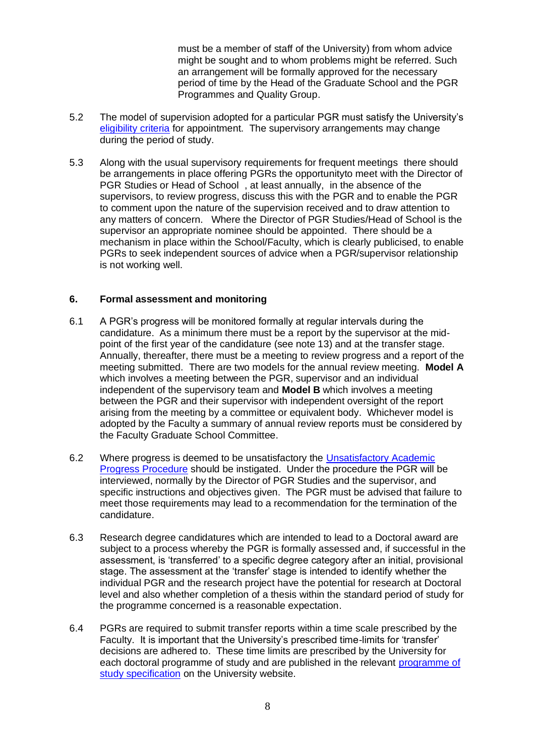must be a member of staff of the University) from whom advice might be sought and to whom problems might be referred. Such an arrangement will be formally approved for the necessary period of time by the Head of the Graduate School and the PGR Programmes and Quality Group.

- 5.2 The model of supervision adopted for a particular PGR must satisfy the University's [eligibility criteria](https://ses.leeds.ac.uk/info/22172/research_degrees/1030/regulations_codes_policies_and_procedures_for_postgraduate_research%20-%20supervisors) for appointment. The supervisory arrangements may change during the period of study.
- 5.3 Along with the usual supervisory requirements for frequent meetings there should be arrangements in place offering PGRs the opportunityto meet with the Director of PGR Studies or Head of School , at least annually, in the absence of the supervisors, to review progress, discuss this with the PGR and to enable the PGR to comment upon the nature of the supervision received and to draw attention to any matters of concern. Where the Director of PGR Studies/Head of School is the supervisor an appropriate nominee should be appointed. There should be a mechanism in place within the School/Faculty, which is clearly publicised, to enable PGRs to seek independent sources of advice when a PGR/supervisor relationship is not working well.

#### **6. Formal assessment and monitoring**

- 6.1 A PGR's progress will be monitored formally at regular intervals during the candidature. As a minimum there must be a report by the supervisor at the midpoint of the first year of the candidature (see note 13) and at the transfer stage. Annually, thereafter, there must be a meeting to review progress and a report of the meeting submitted. There are two models for the annual review meeting. **Model A** which involves a meeting between the PGR, supervisor and an individual independent of the supervisory team and **Model B** which involves a meeting between the PGR and their supervisor with independent oversight of the report arising from the meeting by a committee or equivalent body. Whichever model is adopted by the Faculty a summary of annual review reports must be considered by the Faculty Graduate School Committee.
- 6.2 Where progress is deemed to be unsatisfactory the [Unsatisfactory Academic](http://ses.leeds.ac.uk/info/22215/research_degree-related_policies/720/unsatisfactory_academic_progress_procedure_research_students)  [Progress Procedure](http://ses.leeds.ac.uk/info/22215/research_degree-related_policies/720/unsatisfactory_academic_progress_procedure_research_students) should be instigated. Under the procedure the PGR will be interviewed, normally by the Director of PGR Studies and the supervisor, and specific instructions and objectives given. The PGR must be advised that failure to meet those requirements may lead to a recommendation for the termination of the candidature.
- 6.3 Research degree candidatures which are intended to lead to a Doctoral award are subject to a process whereby the PGR is formally assessed and, if successful in the assessment, is 'transferred' to a specific degree category after an initial, provisional stage. The assessment at the 'transfer' stage is intended to identify whether the individual PGR and the research project have the potential for research at Doctoral level and also whether completion of a thesis within the standard period of study for the programme concerned is a reasonable expectation.
- 6.4 PGRs are required to submit transfer reports within a time scale prescribed by the Faculty. It is important that the University's prescribed time-limits for 'transfer' decisions are adhered to. These time limits are prescribed by the University for each doctoral programme of study and are published in the relevant [programme of](http://ses.leeds.ac.uk/info/22168/student_support-related_policies/646/ordinances)  [study specification](http://ses.leeds.ac.uk/info/22168/student_support-related_policies/646/ordinances) on the University website.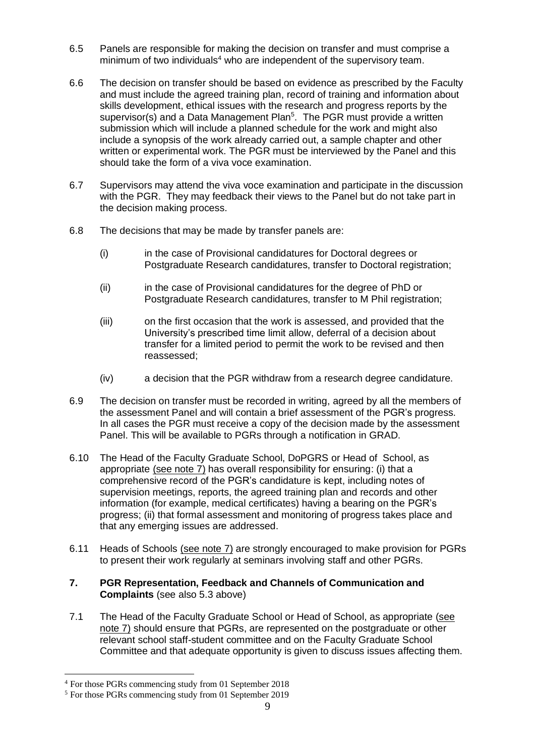- 6.5 Panels are responsible for making the decision on transfer and must comprise a minimum of two individuals<sup>4</sup> who are independent of the supervisory team.
- 6.6 The decision on transfer should be based on evidence as prescribed by the Faculty and must include the agreed training plan, record of training and information about skills development, ethical issues with the research and progress reports by the supervisor(s) and a Data Management Plan<sup>5</sup>. The PGR must provide a written submission which will include a planned schedule for the work and might also include a synopsis of the work already carried out, a sample chapter and other written or experimental work. The PGR must be interviewed by the Panel and this should take the form of a viva voce examination.
- 6.7 Supervisors may attend the viva voce examination and participate in the discussion with the PGR. They may feedback their views to the Panel but do not take part in the decision making process.
- 6.8 The decisions that may be made by transfer panels are:
	- (i) in the case of Provisional candidatures for Doctoral degrees or Postgraduate Research candidatures, transfer to Doctoral registration;
	- (ii) in the case of Provisional candidatures for the degree of PhD or Postgraduate Research candidatures, transfer to M Phil registration;
	- (iii) on the first occasion that the work is assessed, and provided that the University's prescribed time limit allow, deferral of a decision about transfer for a limited period to permit the work to be revised and then reassessed;
	- (iv) a decision that the PGR withdraw from a research degree candidature.
- 6.9 The decision on transfer must be recorded in writing, agreed by all the members of the assessment Panel and will contain a brief assessment of the PGR's progress. In all cases the PGR must receive a copy of the decision made by the assessment Panel. This will be available to PGRs through a notification in GRAD.
- 6.10 The Head of the Faculty Graduate School, DoPGRS or Head of School, as appropriate (see note 7) has overall responsibility for ensuring: (i) that a comprehensive record of the PGR's candidature is kept, including notes of supervision meetings, reports, the agreed training plan and records and other information (for example, medical certificates) having a bearing on the PGR's progress; (ii) that formal assessment and monitoring of progress takes place and that any emerging issues are addressed.
- 6.11 Heads of Schools (see note 7) are strongly encouraged to make provision for PGRs to present their work regularly at seminars involving staff and other PGRs.
- **7. PGR Representation, Feedback and Channels of Communication and Complaints** (see also 5.3 above)
- 7.1 The Head of the Faculty Graduate School or Head of School, as appropriate (see note 7) should ensure that PGRs, are represented on the postgraduate or other relevant school staff-student committee and on the Faculty Graduate School Committee and that adequate opportunity is given to discuss issues affecting them.

<sup>4</sup> For those PGRs commencing study from 01 September 2018

<sup>5</sup> For those PGRs commencing study from 01 September 2019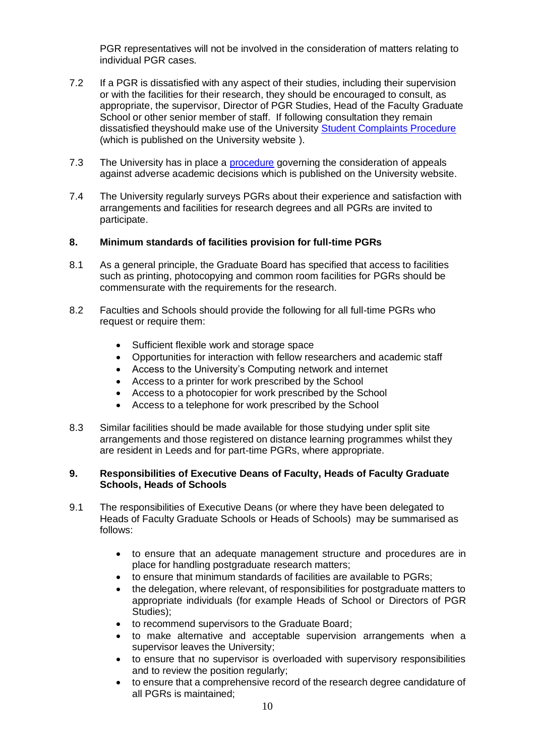PGR representatives will not be involved in the consideration of matters relating to individual PGR cases.

- 7.2 If a PGR is dissatisfied with any aspect of their studies, including their supervision or with the facilities for their research, they should be encouraged to consult, as appropriate, the supervisor, Director of PGR Studies, Head of the Faculty Graduate School or other senior member of staff. If following consultation they remain dissatisfied theyshould make use of the University [Student Complaints Procedure](http://www.leeds.ac.uk/secretariat/student_complaints.html) (which is published on the University website ).
- 7.3 The University has in place a [procedure](http://www.leeds.ac.uk/secretariat/student_cases.html) governing the consideration of appeals against adverse academic decisions which is published on the University website.
- 7.4 The University regularly surveys PGRs about their experience and satisfaction with arrangements and facilities for research degrees and all PGRs are invited to participate.

### **8. Minimum standards of facilities provision for full-time PGRs**

- 8.1 As a general principle, the Graduate Board has specified that access to facilities such as printing, photocopying and common room facilities for PGRs should be commensurate with the requirements for the research.
- 8.2 Faculties and Schools should provide the following for all full-time PGRs who request or require them:
	- Sufficient flexible work and storage space
	- Opportunities for interaction with fellow researchers and academic staff
	- Access to the University's Computing network and internet
	- Access to a printer for work prescribed by the School
	- Access to a photocopier for work prescribed by the School
	- Access to a telephone for work prescribed by the School
- 8.3 Similar facilities should be made available for those studying under split site arrangements and those registered on distance learning programmes whilst they are resident in Leeds and for part-time PGRs, where appropriate.

#### **9. Responsibilities of Executive Deans of Faculty, Heads of Faculty Graduate Schools, Heads of Schools**

- 9.1 The responsibilities of Executive Deans (or where they have been delegated to Heads of Faculty Graduate Schools or Heads of Schools) may be summarised as follows:
	- to ensure that an adequate management structure and procedures are in place for handling postgraduate research matters;
	- to ensure that minimum standards of facilities are available to PGRs;
	- the delegation, where relevant, of responsibilities for postgraduate matters to appropriate individuals (for example Heads of School or Directors of PGR Studies);
	- to recommend supervisors to the Graduate Board;
	- to make alternative and acceptable supervision arrangements when a supervisor leaves the University;
	- to ensure that no supervisor is overloaded with supervisory responsibilities and to review the position regularly;
	- to ensure that a comprehensive record of the research degree candidature of all PGRs is maintained;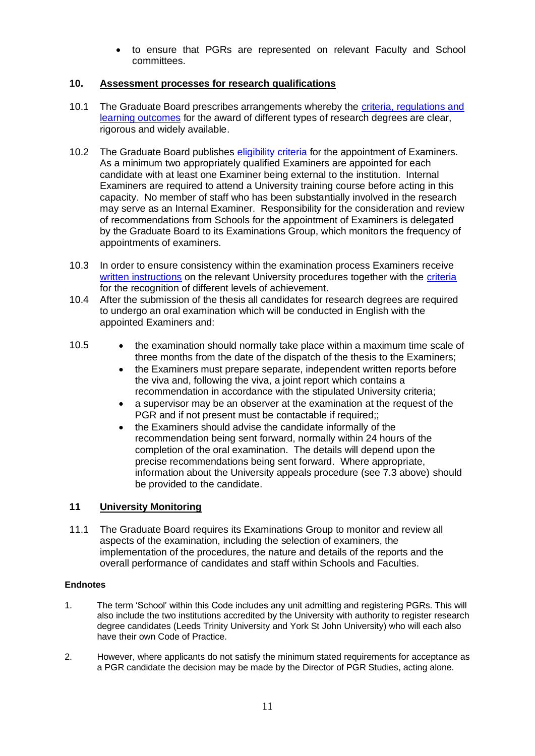• to ensure that PGRs are represented on relevant Faculty and School committees.

## **10. Assessment processes for research qualifications**

- 10.1 The Graduate Board prescribes arrangements whereby the [criteria, regulations and](http://ses.leeds.ac.uk/info/22168/student_support-related_policies/646/ordinances)  [learning outcomes](http://ses.leeds.ac.uk/info/22168/student_support-related_policies/646/ordinances) for the award of different types of research degrees are clear, rigorous and widely available.
- 10.2 The Graduate Board publishes [eligibility criteria](http://students.leeds.ac.uk/info/103553/research_student_policies_and_procedures/955/regulations_codes_policies_and_procedures_for_postgraduate_research) for the appointment of Examiners. As a minimum two appropriately qualified Examiners are appointed for each candidate with at least one Examiner being external to the institution. Internal Examiners are required to attend a University training course before acting in this capacity. No member of staff who has been substantially involved in the research may serve as an Internal Examiner. Responsibility for the consideration and review of recommendations from Schools for the appointment of Examiners is delegated by the Graduate Board to its Examinations Group, which monitors the frequency of appointments of examiners.
- 10.3 In order to ensure consistency within the examination process Examiners receive [written instructions](https://ses.leeds.ac.uk/info/20620/research_student_assessment/605/instructions_to_examiners) on the relevant University procedures together with the [criteria](https://ses.leeds.ac.uk/info/20620/research_student_assessment/605/instructions_to_examiners) for the recognition of different levels of achievement.
- 10.4 After the submission of the thesis all candidates for research degrees are required to undergo an oral examination which will be conducted in English with the appointed Examiners and:
- 10.5 the examination should normally take place within a maximum time scale of three months from the date of the dispatch of the thesis to the Examiners;
	- the Examiners must prepare separate, independent written reports before the viva and, following the viva, a joint report which contains a recommendation in accordance with the stipulated University criteria;
	- a supervisor may be an observer at the examination at the request of the PGR and if not present must be contactable if required;;
	- the Examiners should advise the candidate informally of the recommendation being sent forward, normally within 24 hours of the completion of the oral examination. The details will depend upon the precise recommendations being sent forward. Where appropriate, information about the University appeals procedure (see 7.3 above) should be provided to the candidate.

## **11 University Monitoring**

11.1 The Graduate Board requires its Examinations Group to monitor and review all aspects of the examination, including the selection of examiners, the implementation of the procedures, the nature and details of the reports and the overall performance of candidates and staff within Schools and Faculties.

### **Endnotes**

- 1. The term 'School' within this Code includes any unit admitting and registering PGRs. This will also include the two institutions accredited by the University with authority to register research degree candidates (Leeds Trinity University and York St John University) who will each also have their own Code of Practice.
- 2. However, where applicants do not satisfy the minimum stated requirements for acceptance as a PGR candidate the decision may be made by the Director of PGR Studies, acting alone.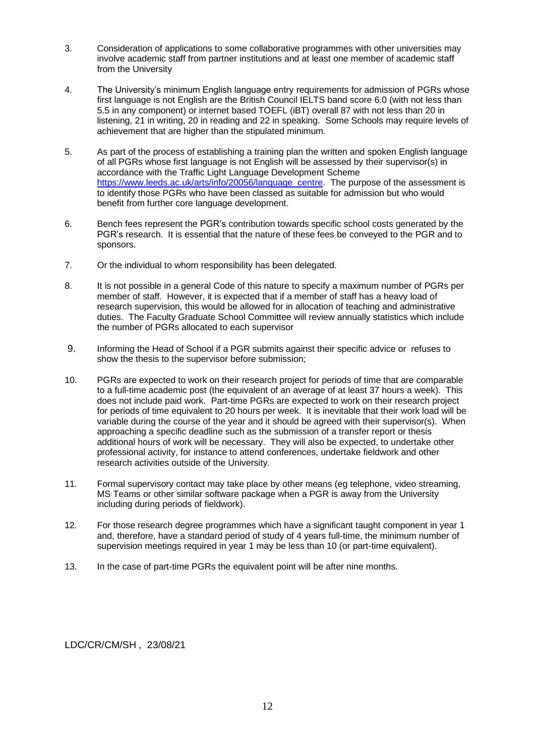- 3. Consideration of applications to some collaborative programmes with other universities may involve academic staff from partner institutions and at least one member of academic staff from the University
- 4. The University's minimum English language entry requirements for admission of PGRs whose first language is not English are the British Council IELTS band score 6.0 (with not less than 5.5 in any component) or internet based TOEFL (iBT) overall 87 with not less than 20 in listening, 21 in writing, 20 in reading and 22 in speaking. Some Schools may require levels of achievement that are higher than the stipulated minimum.
- 5. As part of the process of establishing a training plan the written and spoken English language of all PGRs whose first language is not English will be assessed by their supervisor(s) in accordance with the Traffic Light Language Development Scheme [https://www.leeds.ac.uk/arts/info/20056/language\\_centre.](https://www.leeds.ac.uk/arts/info/20056/language_centre) The purpose of the assessment is to identify those PGRs who have been classed as suitable for admission but who would benefit from further core language development.
- 6. Bench fees represent the PGR's contribution towards specific school costs generated by the PGR's research. It is essential that the nature of these fees be conveyed to the PGR and to sponsors.
- 7. Or the individual to whom responsibility has been delegated.
- 8. It is not possible in a general Code of this nature to specify a maximum number of PGRs per member of staff. However, it is expected that if a member of staff has a heavy load of research supervision, this would be allowed for in allocation of teaching and administrative duties. The Faculty Graduate School Committee will review annually statistics which include the number of PGRs allocated to each supervisor
- 9. Informing the Head of School if a PGR submits against their specific advice or refuses to show the thesis to the supervisor before submission;
- 10. PGRs are expected to work on their research project for periods of time that are comparable to a full-time academic post (the equivalent of an average of at least 37 hours a week). This does not include paid work. Part-time PGRs are expected to work on their research project for periods of time equivalent to 20 hours per week. It is inevitable that their work load will be variable during the course of the year and it should be agreed with their supervisor(s). When approaching a specific deadline such as the submission of a transfer report or thesis additional hours of work will be necessary. They will also be expected, to undertake other professional activity, for instance to attend conferences, undertake fieldwork and other research activities outside of the University.
- 11. Formal supervisory contact may take place by other means (eg telephone, video streaming, MS Teams or other similar software package when a PGR is away from the University including during periods of fieldwork).
- 12. For those research degree programmes which have a significant taught component in year 1 and, therefore, have a standard period of study of 4 years full-time, the minimum number of supervision meetings required in year 1 may be less than 10 (or part-time equivalent).
- 13. In the case of part-time PGRs the equivalent point will be after nine months.

LDC/CR/CM/SH , 23/08/21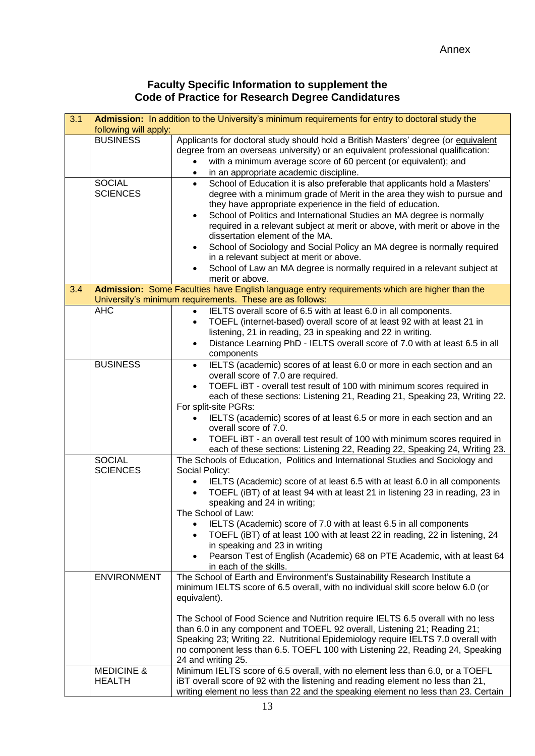# **Faculty Specific Information to supplement the Code of Practice for Research Degree Candidatures**

| 3.1 | Admission: In addition to the University's minimum requirements for entry to doctoral study the<br>following will apply: |                                                                                                                                                                                                                                                                                                                                                                                                                                                                                                                                                                                                                                                                  |  |  |
|-----|--------------------------------------------------------------------------------------------------------------------------|------------------------------------------------------------------------------------------------------------------------------------------------------------------------------------------------------------------------------------------------------------------------------------------------------------------------------------------------------------------------------------------------------------------------------------------------------------------------------------------------------------------------------------------------------------------------------------------------------------------------------------------------------------------|--|--|
|     | <b>BUSINESS</b>                                                                                                          | Applicants for doctoral study should hold a British Masters' degree (or equivalent<br>degree from an overseas university) or an equivalent professional qualification:<br>with a minimum average score of 60 percent (or equivalent); and<br>in an appropriate academic discipline.                                                                                                                                                                                                                                                                                                                                                                              |  |  |
|     | <b>SOCIAL</b><br><b>SCIENCES</b>                                                                                         | School of Education it is also preferable that applicants hold a Masters'<br>$\bullet$<br>degree with a minimum grade of Merit in the area they wish to pursue and<br>they have appropriate experience in the field of education.<br>School of Politics and International Studies an MA degree is normally<br>$\bullet$<br>required in a relevant subject at merit or above, with merit or above in the<br>dissertation element of the MA.<br>School of Sociology and Social Policy an MA degree is normally required<br>in a relevant subject at merit or above.<br>School of Law an MA degree is normally required in a relevant subject at<br>merit or above. |  |  |
| 3.4 |                                                                                                                          | Admission: Some Faculties have English language entry requirements which are higher than the<br>University's minimum requirements. These are as follows:                                                                                                                                                                                                                                                                                                                                                                                                                                                                                                         |  |  |
|     | <b>AHC</b>                                                                                                               | IELTS overall score of 6.5 with at least 6.0 in all components.<br>TOEFL (internet-based) overall score of at least 92 with at least 21 in<br>listening, 21 in reading, 23 in speaking and 22 in writing.<br>Distance Learning PhD - IELTS overall score of 7.0 with at least 6.5 in all<br>components                                                                                                                                                                                                                                                                                                                                                           |  |  |
|     | <b>BUSINESS</b>                                                                                                          | IELTS (academic) scores of at least 6.0 or more in each section and an<br>$\bullet$<br>overall score of 7.0 are required.<br>TOEFL iBT - overall test result of 100 with minimum scores required in<br>each of these sections: Listening 21, Reading 21, Speaking 23, Writing 22.<br>For split-site PGRs:<br>IELTS (academic) scores of at least 6.5 or more in each section and an<br>overall score of 7.0.<br>TOEFL iBT - an overall test result of 100 with minimum scores required in<br>each of these sections: Listening 22, Reading 22, Speaking 24, Writing 23.                                                                                          |  |  |
|     | <b>SOCIAL</b><br><b>SCIENCES</b>                                                                                         | The Schools of Education, Politics and International Studies and Sociology and<br>Social Policy:<br>IELTS (Academic) score of at least 6.5 with at least 6.0 in all components<br>TOEFL (iBT) of at least 94 with at least 21 in listening 23 in reading, 23 in<br>speaking and 24 in writing;<br>The School of Law:<br>IELTS (Academic) score of 7.0 with at least 6.5 in all components<br>$\bullet$<br>TOEFL (iBT) of at least 100 with at least 22 in reading, 22 in listening, 24<br>in speaking and 23 in writing<br>Pearson Test of English (Academic) 68 on PTE Academic, with at least 64<br>in each of the skills.                                     |  |  |
|     | <b>ENVIRONMENT</b>                                                                                                       | The School of Earth and Environment's Sustainability Research Institute a<br>minimum IELTS score of 6.5 overall, with no individual skill score below 6.0 (or<br>equivalent).<br>The School of Food Science and Nutrition require IELTS 6.5 overall with no less<br>than 6.0 in any component and TOEFL 92 overall, Listening 21; Reading 21;<br>Speaking 23; Writing 22. Nutritional Epidemiology require IELTS 7.0 overall with<br>no component less than 6.5. TOEFL 100 with Listening 22, Reading 24, Speaking<br>24 and writing 25.                                                                                                                         |  |  |
|     | <b>MEDICINE &amp;</b><br><b>HEALTH</b>                                                                                   | Minimum IELTS score of 6.5 overall, with no element less than 6.0, or a TOEFL<br>iBT overall score of 92 with the listening and reading element no less than 21,<br>writing element no less than 22 and the speaking element no less than 23. Certain                                                                                                                                                                                                                                                                                                                                                                                                            |  |  |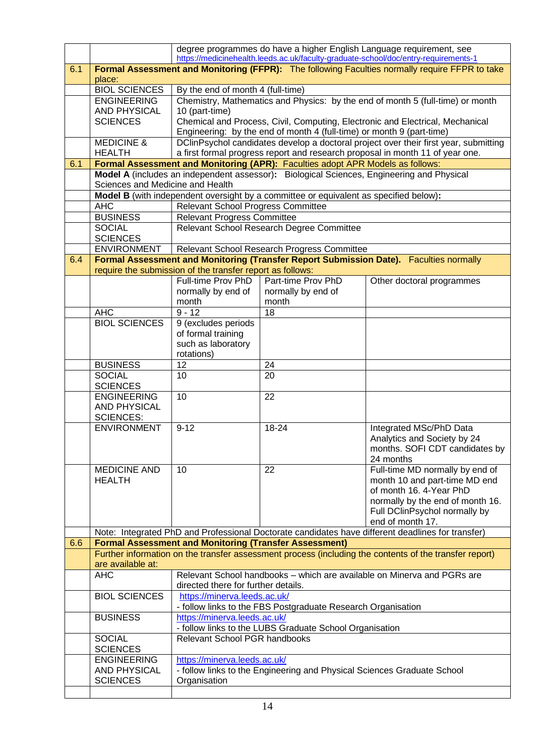|     |                                        |                                                                                                                             |                                                                                           | degree programmes do have a higher English Language requirement, see<br>https://medicinehealth.leeds.ac.uk/faculty-graduate-school/doc/entry-requirements-1 |  |  |  |
|-----|----------------------------------------|-----------------------------------------------------------------------------------------------------------------------------|-------------------------------------------------------------------------------------------|-------------------------------------------------------------------------------------------------------------------------------------------------------------|--|--|--|
| 6.1 | place:                                 | Formal Assessment and Monitoring (FFPR): The following Faculties normally require FFPR to take                              |                                                                                           |                                                                                                                                                             |  |  |  |
|     | <b>BIOL SCIENCES</b>                   | By the end of month 4 (full-time)                                                                                           |                                                                                           |                                                                                                                                                             |  |  |  |
|     | <b>ENGINEERING</b>                     |                                                                                                                             |                                                                                           | Chemistry, Mathematics and Physics: by the end of month 5 (full-time) or month                                                                              |  |  |  |
|     | <b>AND PHYSICAL</b>                    | 10 (part-time)                                                                                                              |                                                                                           |                                                                                                                                                             |  |  |  |
|     | <b>SCIENCES</b>                        |                                                                                                                             |                                                                                           | Chemical and Process, Civil, Computing, Electronic and Electrical, Mechanical                                                                               |  |  |  |
|     |                                        |                                                                                                                             | Engineering: by the end of month 4 (full-time) or month 9 (part-time)                     |                                                                                                                                                             |  |  |  |
|     | <b>MEDICINE &amp;</b>                  |                                                                                                                             |                                                                                           | DClinPsychol candidates develop a doctoral project over their first year, submitting                                                                        |  |  |  |
|     | <b>HEALTH</b>                          |                                                                                                                             |                                                                                           | a first formal progress report and research proposal in month 11 of year one.                                                                               |  |  |  |
| 6.1 |                                        |                                                                                                                             | Formal Assessment and Monitoring (APR): Faculties adopt APR Models as follows:            |                                                                                                                                                             |  |  |  |
|     |                                        |                                                                                                                             | Model A (includes an independent assessor): Biological Sciences, Engineering and Physical |                                                                                                                                                             |  |  |  |
|     |                                        | Sciences and Medicine and Health                                                                                            |                                                                                           |                                                                                                                                                             |  |  |  |
|     | <b>AHC</b>                             | Model B (with independent oversight by a committee or equivalent as specified below):<br>Relevant School Progress Committee |                                                                                           |                                                                                                                                                             |  |  |  |
|     | <b>BUSINESS</b>                        | <b>Relevant Progress Committee</b>                                                                                          |                                                                                           |                                                                                                                                                             |  |  |  |
|     | <b>SOCIAL</b>                          | Relevant School Research Degree Committee                                                                                   |                                                                                           |                                                                                                                                                             |  |  |  |
|     | <b>SCIENCES</b>                        |                                                                                                                             |                                                                                           |                                                                                                                                                             |  |  |  |
|     | <b>ENVIRONMENT</b>                     |                                                                                                                             | Relevant School Research Progress Committee                                               |                                                                                                                                                             |  |  |  |
| 6.4 |                                        |                                                                                                                             |                                                                                           | Formal Assessment and Monitoring (Transfer Report Submission Date). Faculties normally                                                                      |  |  |  |
|     |                                        | require the submission of the transfer report as follows:                                                                   |                                                                                           |                                                                                                                                                             |  |  |  |
|     |                                        | Full-time Prov PhD                                                                                                          | Part-time Prov PhD                                                                        | Other doctoral programmes                                                                                                                                   |  |  |  |
|     |                                        | normally by end of                                                                                                          | normally by end of                                                                        |                                                                                                                                                             |  |  |  |
|     |                                        | month                                                                                                                       | month                                                                                     |                                                                                                                                                             |  |  |  |
|     | <b>AHC</b>                             | $9 - 12$                                                                                                                    | 18                                                                                        |                                                                                                                                                             |  |  |  |
|     | <b>BIOL SCIENCES</b>                   | 9 (excludes periods<br>of formal training                                                                                   |                                                                                           |                                                                                                                                                             |  |  |  |
|     |                                        | such as laboratory                                                                                                          |                                                                                           |                                                                                                                                                             |  |  |  |
|     |                                        | rotations)                                                                                                                  |                                                                                           |                                                                                                                                                             |  |  |  |
|     | <b>BUSINESS</b>                        | 12                                                                                                                          | 24                                                                                        |                                                                                                                                                             |  |  |  |
|     | <b>SOCIAL</b>                          | 10                                                                                                                          | 20                                                                                        |                                                                                                                                                             |  |  |  |
|     | <b>SCIENCES</b>                        |                                                                                                                             |                                                                                           |                                                                                                                                                             |  |  |  |
|     | <b>ENGINEERING</b>                     | 10                                                                                                                          | 22                                                                                        |                                                                                                                                                             |  |  |  |
|     | <b>AND PHYSICAL</b>                    |                                                                                                                             |                                                                                           |                                                                                                                                                             |  |  |  |
|     | <b>SCIENCES:</b><br><b>ENVIRONMENT</b> | $9 - 12$                                                                                                                    | 18-24                                                                                     | Integrated MSc/PhD Data                                                                                                                                     |  |  |  |
|     |                                        |                                                                                                                             |                                                                                           | Analytics and Society by 24                                                                                                                                 |  |  |  |
|     |                                        |                                                                                                                             |                                                                                           | months. SOFI CDT candidates by                                                                                                                              |  |  |  |
|     |                                        |                                                                                                                             |                                                                                           | 24 months                                                                                                                                                   |  |  |  |
|     | <b>MEDICINE AND</b>                    | 10                                                                                                                          | 22                                                                                        | Full-time MD normally by end of                                                                                                                             |  |  |  |
|     | <b>HEALTH</b>                          |                                                                                                                             |                                                                                           | month 10 and part-time MD end                                                                                                                               |  |  |  |
|     |                                        |                                                                                                                             |                                                                                           | of month 16. 4-Year PhD                                                                                                                                     |  |  |  |
|     |                                        |                                                                                                                             |                                                                                           | normally by the end of month 16.                                                                                                                            |  |  |  |
|     |                                        |                                                                                                                             |                                                                                           | Full DClinPsychol normally by                                                                                                                               |  |  |  |
|     |                                        |                                                                                                                             |                                                                                           | end of month 17.<br>Note: Integrated PhD and Professional Doctorate candidates have different deadlines for transfer)                                       |  |  |  |
| 6.6 |                                        | <b>Formal Assessment and Monitoring (Transfer Assessment)</b>                                                               |                                                                                           |                                                                                                                                                             |  |  |  |
|     |                                        |                                                                                                                             |                                                                                           | Further information on the transfer assessment process (including the contents of the transfer report)                                                      |  |  |  |
|     | are available at:                      |                                                                                                                             |                                                                                           |                                                                                                                                                             |  |  |  |
|     | <b>AHC</b>                             | directed there for further details.                                                                                         |                                                                                           | Relevant School handbooks - which are available on Minerva and PGRs are                                                                                     |  |  |  |
|     | <b>BIOL SCIENCES</b>                   | https://minerva.leeds.ac.uk/                                                                                                |                                                                                           |                                                                                                                                                             |  |  |  |
|     |                                        |                                                                                                                             | - follow links to the FBS Postgraduate Research Organisation                              |                                                                                                                                                             |  |  |  |
|     | <b>BUSINESS</b>                        |                                                                                                                             | https://minerva.leeds.ac.uk/<br>- follow links to the LUBS Graduate School Organisation   |                                                                                                                                                             |  |  |  |
|     | <b>SOCIAL</b>                          | Relevant School PGR handbooks                                                                                               |                                                                                           |                                                                                                                                                             |  |  |  |
|     | <b>SCIENCES</b>                        |                                                                                                                             |                                                                                           |                                                                                                                                                             |  |  |  |
|     | <b>ENGINEERING</b>                     | https://minerva.leeds.ac.uk/                                                                                                |                                                                                           |                                                                                                                                                             |  |  |  |
|     | <b>AND PHYSICAL</b>                    | - follow links to the Engineering and Physical Sciences Graduate School                                                     |                                                                                           |                                                                                                                                                             |  |  |  |
|     | <b>SCIENCES</b>                        | Organisation                                                                                                                |                                                                                           |                                                                                                                                                             |  |  |  |
|     |                                        |                                                                                                                             |                                                                                           |                                                                                                                                                             |  |  |  |